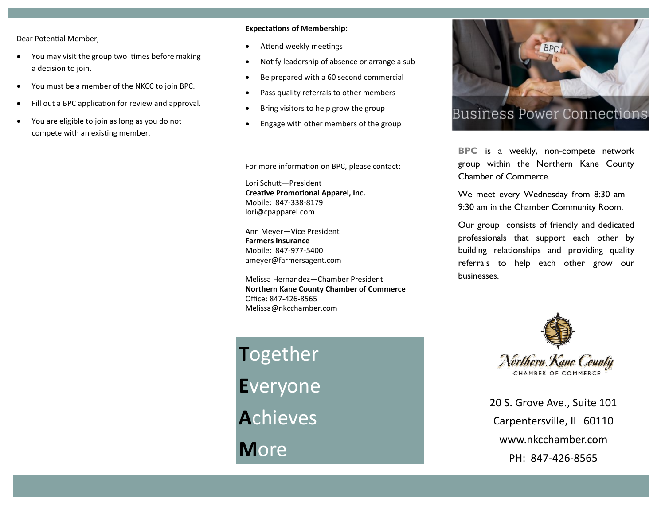Dear Potential Member,

- You may visit the group two times before making a decision to join.
- You must be a member of the NKCC to join BPC.
- Fill out a BPC application for review and approval.
- You are eligible to join as long as you do not compete with an existing member.

## **Expectations of Membership:**

- Attend weekly meetings
- Notify leadership of absence or arrange a sub
- Be prepared with a 60 second commercial
- Pass quality referrals to other members
- Bring visitors to help grow the group
- Engage with other members of the group

For more information on BPC, please contact:

Lori Schutt—President **Creative Promotional Apparel, Inc.** Mobile: 847-338-8179 lori@cpapparel.com

Ann Meyer—Vice President **Farmers Insurance**  Mobile: 847-977-5400 ameyer@farmersagent.com

Melissa Hernandez—Chamber President **Northern Kane County Chamber of Commerce** Office: 847-426-8565 Melissa@nkcchamber.com

**T**ogether **E**veryone **A**chieves **M**ore



**BPC** is a weekly, non-compete network group within the Northern Kane County Chamber of Commerce.

We meet every Wednesday from 8:30 am-9:30 am in the Chamber Community Room.

Our group consists of friendly and dedicated professionals that support each other by building relationships and providing quality referrals to help each other grow our businesses.



20 S. Grove Ave., Suite 101 Carpentersville, IL 60110 www.nkcchamber.com PH: 847-426-8565